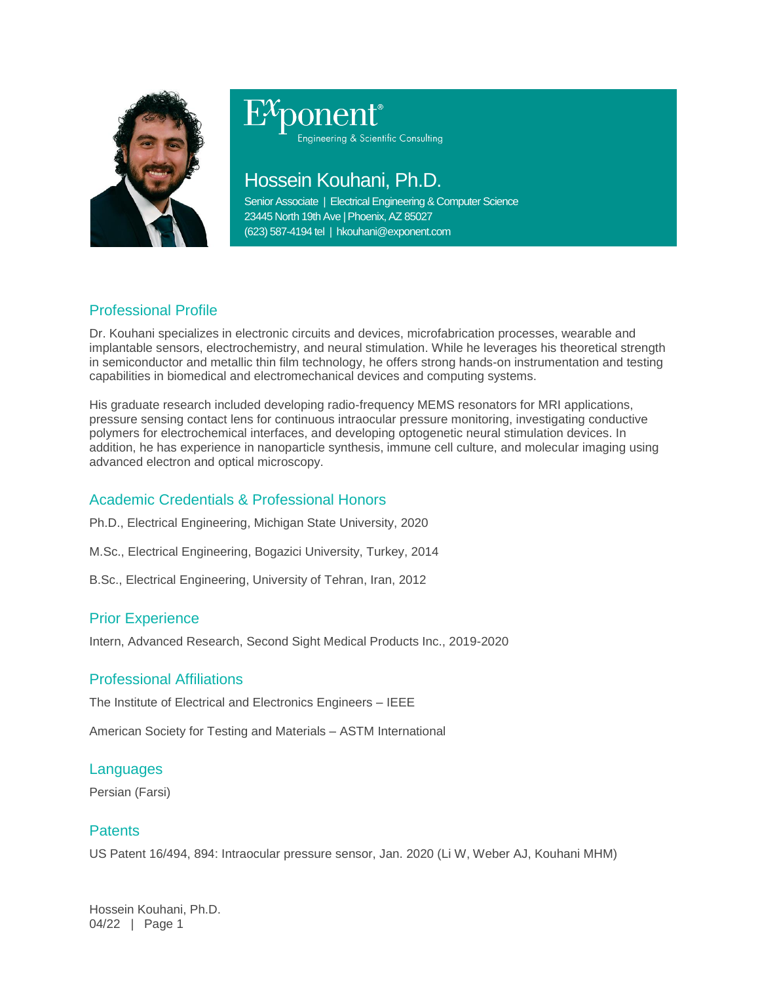

# Engineering & Scientific Consulting

# Hossein Kouhani, Ph.D.

Senior Associate | Electrical Engineering & Computer Science 23445 North 19th Ave | Phoenix, AZ 85027 (623) 587-4194 tel | hkouhani@exponent.com

## Professional Profile

Dr. Kouhani specializes in electronic circuits and devices, microfabrication processes, wearable and implantable sensors, electrochemistry, and neural stimulation. While he leverages his theoretical strength in semiconductor and metallic thin film technology, he offers strong hands-on instrumentation and testing capabilities in biomedical and electromechanical devices and computing systems.

His graduate research included developing radio-frequency MEMS resonators for MRI applications, pressure sensing contact lens for continuous intraocular pressure monitoring, investigating conductive polymers for electrochemical interfaces, and developing optogenetic neural stimulation devices. In addition, he has experience in nanoparticle synthesis, immune cell culture, and molecular imaging using advanced electron and optical microscopy.

### Academic Credentials & Professional Honors

- Ph.D., Electrical Engineering, Michigan State University, 2020
- M.Sc., Electrical Engineering, Bogazici University, Turkey, 2014
- B.Sc., Electrical Engineering, University of Tehran, Iran, 2012

#### Prior Experience

Intern, Advanced Research, Second Sight Medical Products Inc., 2019-2020

#### Professional Affiliations

The Institute of Electrical and Electronics Engineers – IEEE

American Society for Testing and Materials – ASTM International

#### Languages

Persian (Farsi)

#### **Patents**

US Patent 16/494, 894: Intraocular pressure sensor, Jan. 2020 (Li W, Weber AJ, Kouhani MHM)

Hossein Kouhani, Ph.D. 04/22 | Page 1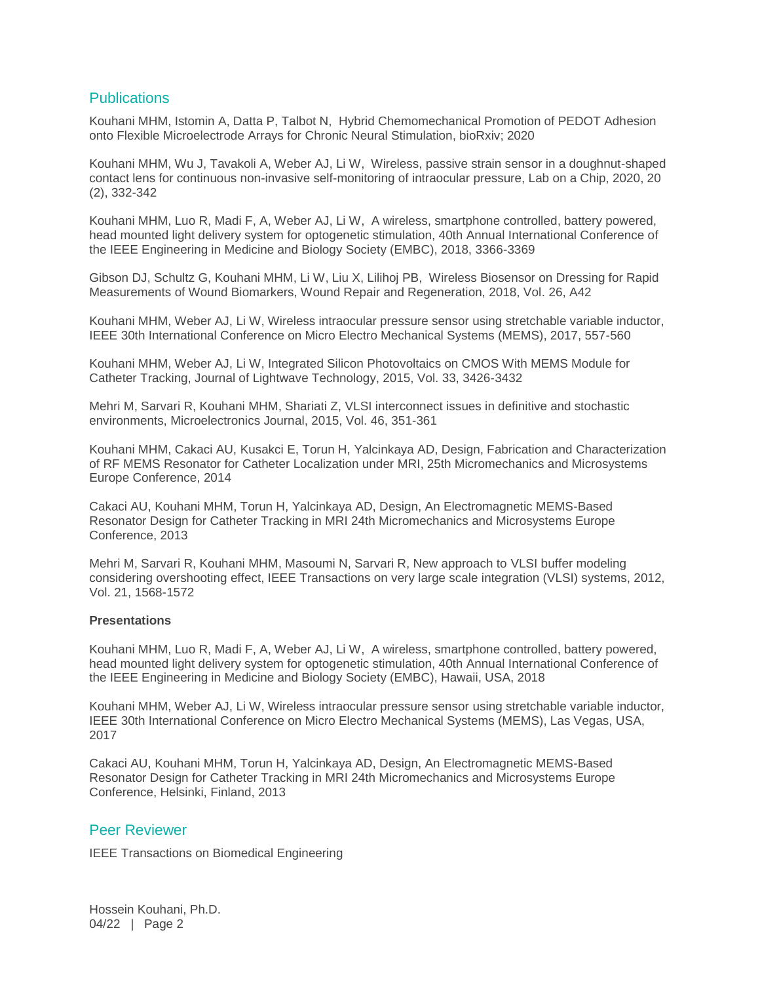#### **Publications**

Kouhani MHM, Istomin A, Datta P, Talbot N, Hybrid Chemomechanical Promotion of PEDOT Adhesion onto Flexible Microelectrode Arrays for Chronic Neural Stimulation, bioRxiv; 2020

Kouhani MHM, Wu J, Tavakoli A, Weber AJ, Li W, Wireless, passive strain sensor in a doughnut-shaped contact lens for continuous non-invasive self-monitoring of intraocular pressure, Lab on a Chip, 2020, 20 (2), 332-342

Kouhani MHM, Luo R, Madi F, A, Weber AJ, Li W, A wireless, smartphone controlled, battery powered, head mounted light delivery system for optogenetic stimulation, 40th Annual International Conference of the IEEE Engineering in Medicine and Biology Society (EMBC), 2018, 3366-3369

Gibson DJ, Schultz G, Kouhani MHM, Li W, Liu X, Lilihoj PB, Wireless Biosensor on Dressing for Rapid Measurements of Wound Biomarkers, Wound Repair and Regeneration, 2018, Vol. 26, A42

Kouhani MHM, Weber AJ, Li W, Wireless intraocular pressure sensor using stretchable variable inductor, IEEE 30th International Conference on Micro Electro Mechanical Systems (MEMS), 2017, 557-560

Kouhani MHM, Weber AJ, Li W, Integrated Silicon Photovoltaics on CMOS With MEMS Module for Catheter Tracking, Journal of Lightwave Technology, 2015, Vol. 33, 3426-3432

Mehri M, Sarvari R, Kouhani MHM, Shariati Z, VLSI interconnect issues in definitive and stochastic environments, Microelectronics Journal, 2015, Vol. 46, 351-361

Kouhani MHM, Cakaci AU, Kusakci E, Torun H, Yalcinkaya AD, Design, Fabrication and Characterization of RF MEMS Resonator for Catheter Localization under MRI, 25th Micromechanics and Microsystems Europe Conference, 2014

Cakaci AU, Kouhani MHM, Torun H, Yalcinkaya AD, Design, An Electromagnetic MEMS-Based Resonator Design for Catheter Tracking in MRI 24th Micromechanics and Microsystems Europe Conference, 2013

Mehri M, Sarvari R, Kouhani MHM, Masoumi N, Sarvari R, New approach to VLSI buffer modeling considering overshooting effect, IEEE Transactions on very large scale integration (VLSI) systems, 2012, Vol. 21, 1568-1572

#### **Presentations**

Kouhani MHM, Luo R, Madi F, A, Weber AJ, Li W, A wireless, smartphone controlled, battery powered, head mounted light delivery system for optogenetic stimulation, 40th Annual International Conference of the IEEE Engineering in Medicine and Biology Society (EMBC), Hawaii, USA, 2018

Kouhani MHM, Weber AJ, Li W, Wireless intraocular pressure sensor using stretchable variable inductor, IEEE 30th International Conference on Micro Electro Mechanical Systems (MEMS), Las Vegas, USA, 2017

Cakaci AU, Kouhani MHM, Torun H, Yalcinkaya AD, Design, An Electromagnetic MEMS-Based Resonator Design for Catheter Tracking in MRI 24th Micromechanics and Microsystems Europe Conference, Helsinki, Finland, 2013

#### Peer Reviewer

IEEE Transactions on Biomedical Engineering

Hossein Kouhani, Ph.D. 04/22 | Page 2